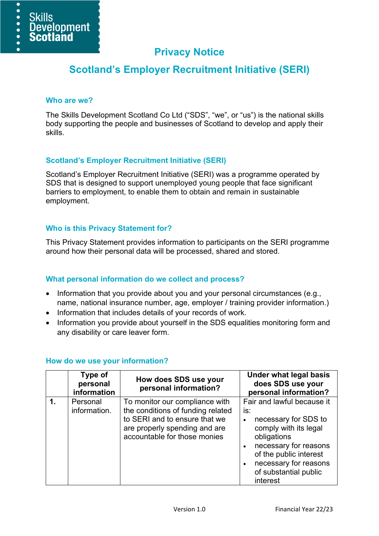

# **Privacy Notice**

# **Scotland's Employer Recruitment Initiative (SERI)**

#### **Who are we?**

The Skills Development Scotland Co Ltd ("SDS", "we", or "us") is the national skills body supporting the people and businesses of Scotland to develop and apply their skills.

# **Scotland's Employer Recruitment Initiative (SERI)**

Scotland's Employer Recruitment Initiative (SERI) was a programme operated by SDS that is designed to support unemployed young people that face significant barriers to employment, to enable them to obtain and remain in sustainable employment.

# **Who is this Privacy Statement for?**

This Privacy Statement provides information to participants on the SERI programme around how their personal data will be processed, shared and stored.

# **What personal information do we collect and process?**

- Information that you provide about you and your personal circumstances (e.g., name, national insurance number, age, employer / training provider information.)
- Information that includes details of your records of work.
- Information you provide about yourself in the SDS equalities monitoring form and any disability or care leaver form.

|    | Type of<br>personal<br>information | How does SDS use your<br>personal information?                                                                                                                        | <b>Under what legal basis</b><br>does SDS use your<br>personal information?                                                                                                                                        |
|----|------------------------------------|-----------------------------------------------------------------------------------------------------------------------------------------------------------------------|--------------------------------------------------------------------------------------------------------------------------------------------------------------------------------------------------------------------|
| 1. | Personal<br>information.           | To monitor our compliance with<br>the conditions of funding related<br>to SERI and to ensure that we<br>are properly spending and are<br>accountable for those monies | Fair and lawful because it<br>is:<br>necessary for SDS to<br>comply with its legal<br>obligations<br>necessary for reasons<br>of the public interest<br>necessary for reasons<br>of substantial public<br>interest |

# **How do we use your information?**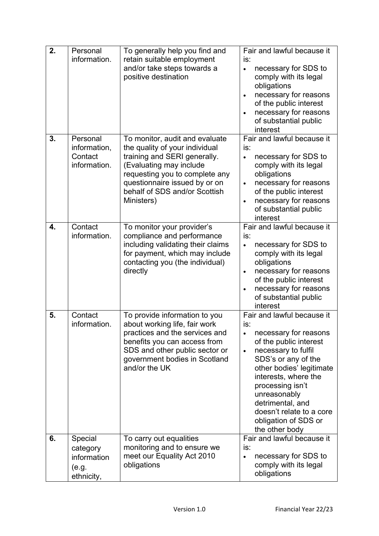| 2. | Personal<br>information.                                  | To generally help you find and<br>retain suitable employment<br>and/or take steps towards a<br>positive destination                                                                                                                           | Fair and lawful because it<br>is:<br>necessary for SDS to<br>$\bullet$<br>comply with its legal<br>obligations<br>necessary for reasons<br>of the public interest<br>necessary for reasons<br>of substantial public<br>interest                                                                                                   |
|----|-----------------------------------------------------------|-----------------------------------------------------------------------------------------------------------------------------------------------------------------------------------------------------------------------------------------------|-----------------------------------------------------------------------------------------------------------------------------------------------------------------------------------------------------------------------------------------------------------------------------------------------------------------------------------|
| 3. | Personal<br>information,<br>Contact<br>information.       | To monitor, audit and evaluate<br>the quality of your individual<br>training and SERI generally.<br>(Evaluating may include<br>requesting you to complete any<br>questionnaire issued by or on<br>behalf of SDS and/or Scottish<br>Ministers) | Fair and lawful because it<br>is:<br>necessary for SDS to<br>$\bullet$<br>comply with its legal<br>obligations<br>necessary for reasons<br>$\bullet$<br>of the public interest<br>necessary for reasons<br>of substantial public<br>interest                                                                                      |
| 4. | Contact<br>information.                                   | To monitor your provider's<br>compliance and performance<br>including validating their claims<br>for payment, which may include<br>contacting you (the individual)<br>directly                                                                | Fair and lawful because it<br>is:<br>necessary for SDS to<br>$\bullet$<br>comply with its legal<br>obligations<br>necessary for reasons<br>$\bullet$<br>of the public interest<br>necessary for reasons<br>$\bullet$<br>of substantial public<br>interest                                                                         |
| 5. | Contact<br>information.                                   | To provide information to you<br>about working life, fair work<br>practices and the services and<br>benefits you can access from<br>SDS and other public sector or<br>government bodies in Scotland<br>and/or the UK                          | Fair and lawful because it<br>is:<br>necessary for reasons<br>of the public interest<br>necessary to fulfil<br>$\bullet$<br>SDS's or any of the<br>other bodies' legitimate<br>interests, where the<br>processing isn't<br>unreasonably<br>detrimental, and<br>doesn't relate to a core<br>obligation of SDS or<br>the other body |
| 6. | Special<br>category<br>information<br>(e.g.<br>ethnicity, | To carry out equalities<br>monitoring and to ensure we<br>meet our Equality Act 2010<br>obligations                                                                                                                                           | Fair and lawful because it<br>is:<br>necessary for SDS to<br>$\bullet$<br>comply with its legal<br>obligations                                                                                                                                                                                                                    |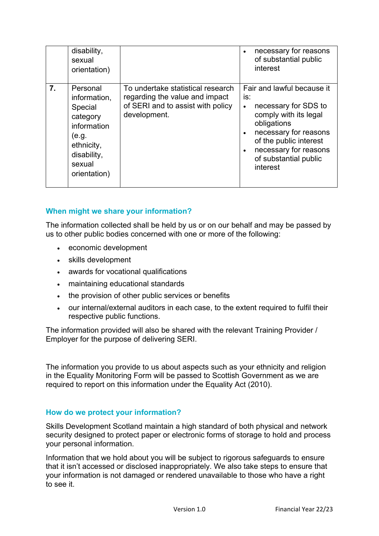| disability,<br>sexual<br>orientation)                                                                                                |                                                                                                                          | necessary for reasons<br>of substantial public<br>interest                                                                                                                                                                      |
|--------------------------------------------------------------------------------------------------------------------------------------|--------------------------------------------------------------------------------------------------------------------------|---------------------------------------------------------------------------------------------------------------------------------------------------------------------------------------------------------------------------------|
| 7.<br>Personal<br>information,<br>Special<br>category<br>information<br>(e.g.<br>ethnicity,<br>disability,<br>sexual<br>orientation) | To undertake statistical research<br>regarding the value and impact<br>of SERI and to assist with policy<br>development. | Fair and lawful because it<br>is:<br>necessary for SDS to<br>$\bullet$<br>comply with its legal<br>obligations<br>necessary for reasons<br>of the public interest<br>necessary for reasons<br>of substantial public<br>interest |

# **When might we share your information?**

The information collected shall be held by us or on our behalf and may be passed by us to other public bodies concerned with one or more of the following:

- economic development
- skills development
- awards for vocational qualifications
- maintaining educational standards
- the provision of other public services or benefits
- our internal/external auditors in each case, to the extent required to fulfil their respective public functions.

The information provided will also be shared with the relevant Training Provider / Employer for the purpose of delivering SERI.

The information you provide to us about aspects such as your ethnicity and religion in the Equality Monitoring Form will be passed to Scottish Government as we are required to report on this information under the Equality Act (2010).

#### **How do we protect your information?**

Skills Development Scotland maintain a high standard of both physical and network security designed to protect paper or electronic forms of storage to hold and process your personal information.

Information that we hold about you will be subject to rigorous safeguards to ensure that it isn't accessed or disclosed inappropriately. We also take steps to ensure that your information is not damaged or rendered unavailable to those who have a right to see it.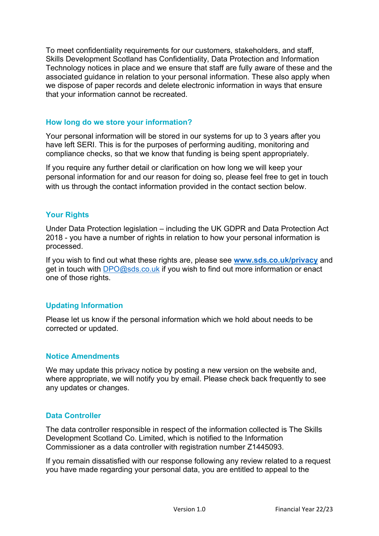To meet confidentiality requirements for our customers, stakeholders, and staff, Skills Development Scotland has Confidentiality, Data Protection and Information Technology notices in place and we ensure that staff are fully aware of these and the associated guidance in relation to your personal information. These also apply when we dispose of paper records and delete electronic information in ways that ensure that your information cannot be recreated.

### **How long do we store your information?**

Your personal information will be stored in our systems for up to 3 years after you have left SERI. This is for the purposes of performing auditing, monitoring and compliance checks, so that we know that funding is being spent appropriately.

If you require any further detail or clarification on how long we will keep your personal information for and our reason for doing so, please feel free to get in touch with us through the contact information provided in the contact section below.

# **Your Rights**

Under Data Protection legislation – including the UK GDPR and Data Protection Act 2018 - you have a number of rights in relation to how your personal information is processed.

If you wish to find out what these rights are, please see **[www.sds.co.uk/privacy](http://www.sds.co.uk/privacy)** and get in touch with [DPO@sds.co.uk](mailto:DPO@sds.co.uk) if you wish to find out more information or enact one of those rights.

# **Updating Information**

Please let us know if the personal information which we hold about needs to be corrected or updated.

# **Notice Amendments**

We may update this privacy notice by posting a new version on the website and, where appropriate, we will notify you by email. Please check back frequently to see any updates or changes.

# **Data Controller**

The data controller responsible in respect of the information collected is The Skills Development Scotland Co. Limited, which is notified to the Information Commissioner as a data controller with registration number Z1445093.

If you remain dissatisfied with our response following any review related to a request you have made regarding your personal data, you are entitled to appeal to the